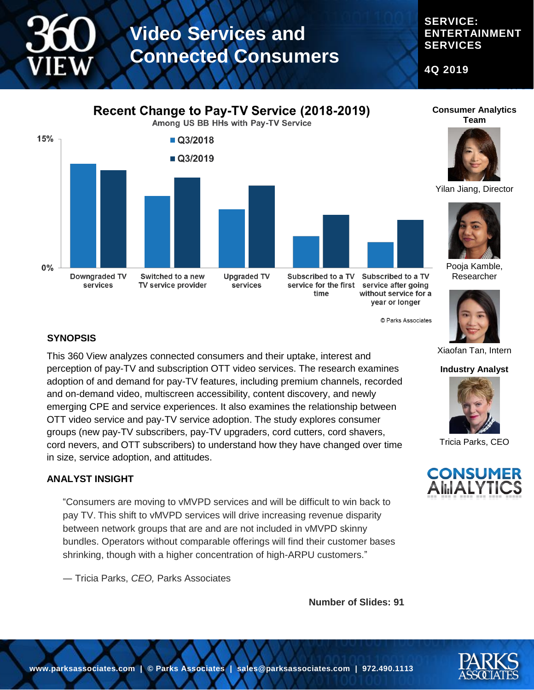# **SERVICE: ENTERTAINMENT SERVICES**

**4Q 2019**

# **Recent Change to Pay-TV Service (2018-2019)**

Among US BB HHs with Pay-TV Service



Subscribed to a TV without service for a year or longer

© Parks Associates

**Consumer Analytics Team**



Yilan Jiang, Director



Pooja Kamble, Researcher



#### Xiaofan Tan, Intern

**Industry Analyst**



Tricia Parks, CEO



### **SYNOPSIS**

This 360 View analyzes connected consumers and their uptake, interest and perception of pay-TV and subscription OTT video services. The research examines adoption of and demand for pay-TV features, including premium channels, recorded and on-demand video, multiscreen accessibility, content discovery, and newly emerging CPE and service experiences. It also examines the relationship between OTT video service and pay-TV service adoption. The study explores consumer groups (new pay-TV subscribers, pay-TV upgraders, cord cutters, cord shavers, cord nevers, and OTT subscribers) to understand how they have changed over time in size, service adoption, and attitudes.

#### **ANALYST INSIGHT**

"Consumers are moving to vMVPD services and will be difficult to win back to pay TV. This shift to vMVPD services will drive increasing revenue disparity between network groups that are and are not included in vMVPD skinny bundles. Operators without comparable offerings will find their customer bases shrinking, though with a higher concentration of high-ARPU customers."

― Tricia Parks, *CEO,* Parks Associates

**Number of Slides: 91**



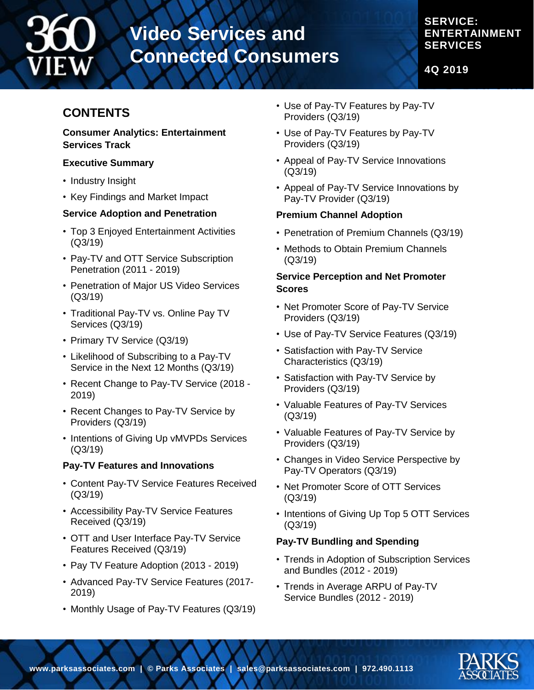

**SERVICE: ENTERTAINMENT SERVICES**

**4Q 2019**

# **CONTENTS**

#### **Consumer Analytics: Entertainment Services Track**

#### **Executive Summary**

- Industry Insight
- Key Findings and Market Impact

#### **Service Adoption and Penetration**

- Top 3 Enjoyed Entertainment Activities (Q3/19)
- Pay-TV and OTT Service Subscription Penetration (2011 - 2019)
- Penetration of Major US Video Services (Q3/19)
- Traditional Pay-TV vs. Online Pay TV Services (Q3/19)
- Primary TV Service (Q3/19)
- Likelihood of Subscribing to a Pay-TV Service in the Next 12 Months (Q3/19)
- Recent Change to Pay-TV Service (2018 2019)
- Recent Changes to Pay-TV Service by Providers (Q3/19)
- Intentions of Giving Up vMVPDs Services (Q3/19)

### **Pay-TV Features and Innovations**

- Content Pay-TV Service Features Received (Q3/19)
- Accessibility Pay-TV Service Features Received (Q3/19)
- OTT and User Interface Pay-TV Service Features Received (Q3/19)
- Pay TV Feature Adoption (2013 2019)
- Advanced Pay-TV Service Features (2017- 2019)
- Monthly Usage of Pay-TV Features (Q3/19)
- Use of Pay-TV Features by Pay-TV Providers (Q3/19)
- Use of Pay-TV Features by Pay-TV Providers (Q3/19)
- Appeal of Pay-TV Service Innovations (Q3/19)
- Appeal of Pay-TV Service Innovations by Pay-TV Provider (Q3/19)

#### **Premium Channel Adoption**

- Penetration of Premium Channels (Q3/19)
- Methods to Obtain Premium Channels (Q3/19)

#### **Service Perception and Net Promoter Scores**

- Net Promoter Score of Pay-TV Service Providers (Q3/19)
- Use of Pay-TV Service Features (Q3/19)
- Satisfaction with Pay-TV Service Characteristics (Q3/19)
- Satisfaction with Pay-TV Service by Providers (Q3/19)
- Valuable Features of Pay-TV Services (Q3/19)
- Valuable Features of Pay-TV Service by Providers (Q3/19)
- Changes in Video Service Perspective by Pay-TV Operators (Q3/19)
- Net Promoter Score of OTT Services (Q3/19)
- Intentions of Giving Up Top 5 OTT Services (Q3/19)

### **Pay-TV Bundling and Spending**

- Trends in Adoption of Subscription Services and Bundles (2012 - 2019)
- Trends in Average ARPU of Pay-TV Service Bundles (2012 - 2019)

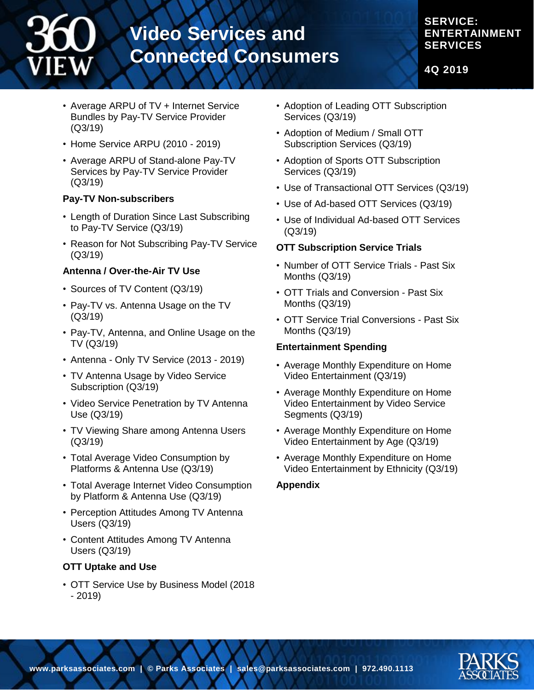# **SERVICE: ENTERTAINMENT SERVICES**

**4Q 2019**

- Average ARPU of TV + Internet Service Bundles by Pay-TV Service Provider (Q3/19)
- Home Service ARPU (2010 2019)
- Average ARPU of Stand-alone Pay-TV Services by Pay-TV Service Provider (Q3/19)

# **Pay-TV Non-subscribers**

- Length of Duration Since Last Subscribing to Pay-TV Service (Q3/19)
- Reason for Not Subscribing Pay-TV Service (Q3/19)

# **Antenna / Over-the-Air TV Use**

- Sources of TV Content (Q3/19)
- Pay-TV vs. Antenna Usage on the TV (Q3/19)
- Pay-TV, Antenna, and Online Usage on the TV (Q3/19)
- Antenna Only TV Service (2013 2019)
- TV Antenna Usage by Video Service Subscription (Q3/19)
- Video Service Penetration by TV Antenna Use (Q3/19)
- TV Viewing Share among Antenna Users (Q3/19)
- Total Average Video Consumption by Platforms & Antenna Use (Q3/19)
- Total Average Internet Video Consumption by Platform & Antenna Use (Q3/19)
- Perception Attitudes Among TV Antenna Users (Q3/19)
- Content Attitudes Among TV Antenna Users (Q3/19)

# **OTT Uptake and Use**

• OTT Service Use by Business Model (2018 - 2019)

- Adoption of Leading OTT Subscription Services (Q3/19)
- Adoption of Medium / Small OTT Subscription Services (Q3/19)
- Adoption of Sports OTT Subscription Services (Q3/19)
- Use of Transactional OTT Services (Q3/19)
- Use of Ad-based OTT Services (Q3/19)
- Use of Individual Ad-based OTT Services (Q3/19)

# **OTT Subscription Service Trials**

- Number of OTT Service Trials Past Six Months (Q3/19)
- OTT Trials and Conversion Past Six Months (Q3/19)
- OTT Service Trial Conversions Past Six Months (Q3/19)

### **Entertainment Spending**

- Average Monthly Expenditure on Home Video Entertainment (Q3/19)
- Average Monthly Expenditure on Home Video Entertainment by Video Service Segments (Q3/19)
- Average Monthly Expenditure on Home Video Entertainment by Age (Q3/19)
- Average Monthly Expenditure on Home Video Entertainment by Ethnicity (Q3/19)

# **Appendix**